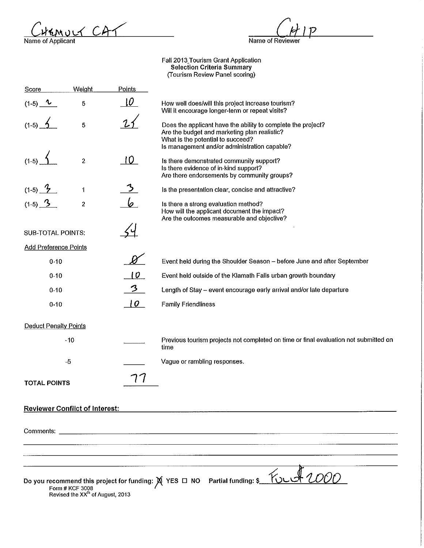ruct CAT Name of Applicant

 $N$ ame of Reviewer

Faii2013\_Tourism Grant Application Selection Criteria Summary (Tourism Review Panel scoring)

| Score                                 | Weight                                                          | Points          |                                                                                                                                                                                                   |
|---------------------------------------|-----------------------------------------------------------------|-----------------|---------------------------------------------------------------------------------------------------------------------------------------------------------------------------------------------------|
| $(1-5)$<br>v                          | 5                                                               | w               | How well does/will this project increase tourism?<br>Will it encourage longer-term or repeat visits?                                                                                              |
| $(1-5)$                               | $\overline{5}$                                                  |                 | Does the applicant have the ability to complete the project?<br>Are the budget and marketing plan realistic?<br>What is the potential to succeed?<br>Is management and/or administration capable? |
| $(1-5)$                               | $\boldsymbol{2}$                                                |                 | Is there demonstrated community support?<br>Is there evidence of in-kind support?<br>Are there endorsements by community groups?                                                                  |
| $(1-5)$ $\frac{7}{2}$                 | 1                                                               |                 | Is the presentation clear, concise and attractive?                                                                                                                                                |
| $(1-5)$ $3$                           | $\boldsymbol{2}$                                                |                 | Is there a strong evaluation method?<br>How will the applicant document the impact?<br>Are the outcomes measurable and objective?                                                                 |
| <b>SUB-TOTAL POINTS:</b>              |                                                                 |                 |                                                                                                                                                                                                   |
| <b>Add Preference Points</b>          |                                                                 |                 |                                                                                                                                                                                                   |
| $0 - 10$                              |                                                                 |                 | Event held during the Shoulder Season - before June and after September                                                                                                                           |
| $0 - 10$                              |                                                                 | 10              | Event held outside of the Klamath Falls urban growth boundary                                                                                                                                     |
| $0 - 10$                              |                                                                 | $\mathcal{Z}$   | Length of Stay - event encourage early arrival and/or late departure                                                                                                                              |
| $0 - 10$                              |                                                                 | $\overline{10}$ | <b>Family Friendliness</b>                                                                                                                                                                        |
| <b>Deduct Penalty Points</b>          |                                                                 |                 |                                                                                                                                                                                                   |
|                                       | $-10$                                                           |                 | Previous tourism projects not completed on time or final evaluation not submitted on<br>time                                                                                                      |
|                                       | $-5$                                                            |                 | Vague or rambling responses.                                                                                                                                                                      |
| <b>TOTAL POINTS</b>                   |                                                                 |                 |                                                                                                                                                                                                   |
| <b>Reviewer Conflict of Interest:</b> |                                                                 |                 |                                                                                                                                                                                                   |
|                                       |                                                                 |                 |                                                                                                                                                                                                   |
|                                       |                                                                 |                 |                                                                                                                                                                                                   |
|                                       |                                                                 |                 |                                                                                                                                                                                                   |
|                                       | Form # KCF 3008<br>Revised the XX <sup>th</sup> of August, 2013 |                 | Do you recommend this project for funding: $\cancel{\mathsf{M}}$ YES $\Box$ NO Partial funding: \$                                                                                                |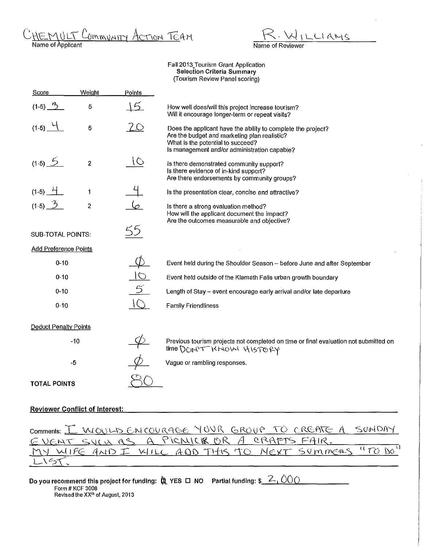- Community Action TEAM HEMULT

LIAMS Name of Reviewer

#### Faii2013\_Tourism Grant Application Selection Criteria Summary (Tourism Review Panel scoring)

| Score                        | Weight         | Points         |                                                                                                                                                                                                   |
|------------------------------|----------------|----------------|---------------------------------------------------------------------------------------------------------------------------------------------------------------------------------------------------|
| $(1-5)$ $\frac{r}{2}$        | 5              | <u> 15.</u>    | How well does/will this project increase tourism?<br>Will it encourage longer-term or repeat visits?                                                                                              |
| $(1-5)$ $-1$                 | 5              | 20             | Does the applicant have the ability to complete the project?<br>Are the budget and marketing plan realistic?<br>What is the potential to succeed?<br>Is management and/or administration capable? |
| $(1-5)$ 5                    | $\overline{2}$ | 10             | Is there demonstrated community support?<br>Is there evidence of in-kind support?<br>Are there endorsements by community groups?                                                                  |
| $(1-5)$ $\frac{11}{1}$       | 1              |                | Is the presentation clear, concise and attractive?                                                                                                                                                |
| $(1-5)$ $3$                  | $\overline{c}$ |                | Is there a strong evaluation method?<br>How will the applicant document the impact?<br>Are the outcomes measurable and objective?                                                                 |
| <b>SUB-TOTAL POINTS:</b>     |                |                |                                                                                                                                                                                                   |
| <b>Add Preference Points</b> |                |                |                                                                                                                                                                                                   |
| $0 - 10$                     |                |                | Event held during the Shoulder Season - before June and after September                                                                                                                           |
| $0 - 10$                     |                | $\overline{O}$ | Event held outside of the Klamath Falls urban growth boundary                                                                                                                                     |
| $0 - 10$                     |                | $\mathfrak{S}$ | Length of Stay - event encourage early arrival and/or late departure                                                                                                                              |
| $0 - 10$                     |                | $\cup$         | <b>Family Friendliness</b>                                                                                                                                                                        |
| <b>Deduct Penalty Points</b> |                |                |                                                                                                                                                                                                   |
|                              | $-10$          |                | Previous tourism projects not completed on time or final evaluation not submitted on<br>time DON'T KNOW HISTORY                                                                                   |
|                              | $-5$           |                | Vague or rambling responses.                                                                                                                                                                      |
| <b>TOTAL POINTS</b>          |                |                |                                                                                                                                                                                                   |

### Reviewer Conflict of Interest:

| Comments: I WOULD ENCOURAGE YOUR GROUP TO CREATE A SUMDAY |  |
|-----------------------------------------------------------|--|
| EVENT SULLAS A PICMICE OR A CRAFTS FAIR.                  |  |
| MY WIFE AND I WILL ADD THIS TO MEXT SUMMERS "TO DO"       |  |
| LIST                                                      |  |

| Do you recommend this project for funding: $\ddot{\bm{\mathfrak{A}}}$ YES $\bm{\mathsf{\Box}}$ NO $\bm{\mathsf{\neg}$ Partial funding; $\bm{\mathfrak{s}}\_\text{-}\text{-}\mathrm{OOO}$ |  |
|------------------------------------------------------------------------------------------------------------------------------------------------------------------------------------------|--|
| Form # KCF 3008                                                                                                                                                                          |  |
| Revised the XX <sup>th</sup> of August, 2013                                                                                                                                             |  |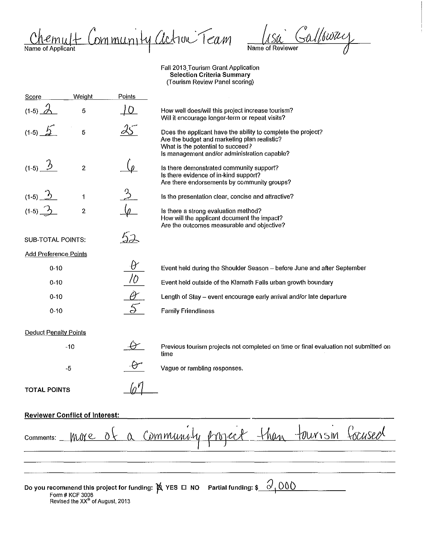iommunity action Team Name of Applicant

 $\mathcal{S}$ allswa $\nu$ Name of Reviewer

Fall 2013\_Tourism Grant Application Selection Criteria Summary (Tourism Review Panel scoring)

Points Score **Weight** (1-5)  $\dot{\mathcal{O}}$ 5 TO . How well does/will this project increase tourism? Will it encourage longer-term or repeat visits?  $(1-5)$ 5 Does the applicant have the ability to complete the project? Are the budget and marketing plan realistic? What is the potential to succeed? Is management and/or administration capable?  $(1-5)$ 2 Is there demonstrated community support? Is there evidence of in-kind support? Are there endorsements by community groups?  $(1-5)$  $\overline{1}$ Is the presentation clear, concise and attractive?  $(1-5)$   $\frac{1}{2}$ Is there a strong evaluation method? 2 How will the applicant document the impact? Are the outcomes measurable and objective?  $52$ SUB-TOTAL POINTS: Add Preference Points 0-10 Event held during the Shoulder Season - before June and after September 0-10 Event held outside of the Klamath Falls urban growth boundary 0-10 Length of Stay- event encourage early arrival and/or late departure 0-10 Family Friendliness Deduct Penalty Points Previous tourism projects not completed on time or final evaluation not submitted on -10 time -5 Vague or rambling responses. *01*  TOTAL POINTS Reviewer Conflict of Interest: Cocuseo  $-1100$ tourism 'dmmunisti NWY e Comments: Do you recommend this project for funding:  $~\cancel{\bowtie}~$  YES  $~\boxdot~$  NO  $~\,$  Partial funding: \$  $~\,$   $~\circ'$  ,  $~\textcircled$   $~\textcircled$ Form# KCF 3008 Revised the XX<sup>th</sup> of August, 2013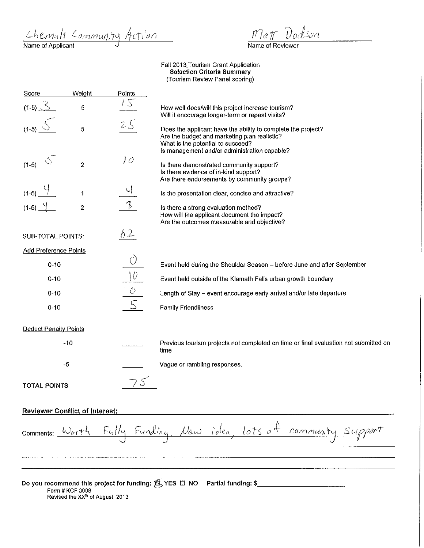Chemult Community Action

 $\mathcal{S}$ on

Name of Reviewer

Fall 2013\_Tourism Grant Application Selection Criteria Summary (Tourism Review Panel scoring)

| Score                        | Weight         | Points           |                                                                                                                                                                                                   |
|------------------------------|----------------|------------------|---------------------------------------------------------------------------------------------------------------------------------------------------------------------------------------------------|
| $(1-5)$ $3$                  | 5              |                  | How well does/will this project increase tourism?<br>Will it encourage longer-term or repeat visits?                                                                                              |
| $(1-5)$                      | 5              | 25               | Does the applicant have the ability to complete the project?<br>Are the budget and marketing plan realistic?<br>What is the potential to succeed?<br>Is management and/or administration capable? |
| $(1-5)$                      | $\overline{2}$ | $\overline{10}$  | Is there demonstrated community support?<br>Is there evidence of in-kind support?<br>Are there endorsements by community groups?                                                                  |
| $(1-5)$                      | $\ddagger$     |                  | Is the presentation clear, concise and attractive?                                                                                                                                                |
| $(1-5)$                      | $\overline{c}$ |                  | Is there a strong evaluation method?<br>How will the applicant document the impact?<br>Are the outcomes measurable and objective?                                                                 |
| <b>SUB-TOTAL POINTS:</b>     |                | 62               |                                                                                                                                                                                                   |
| <b>Add Preference Points</b> |                |                  |                                                                                                                                                                                                   |
| $0 - 10$                     |                | Ò                | Event held during the Shoulder Season - before June and after September                                                                                                                           |
| $0 - 10$                     |                | $\underline{10}$ | Event held outside of the Klamath Falls urban growth boundary                                                                                                                                     |
| $0 - 10$                     |                | $\hat{O}$        | Length of Stay - event encourage early arrival and/or late departure                                                                                                                              |
| $0 - 10$                     |                |                  | <b>Family Friendliness</b>                                                                                                                                                                        |
| <b>Deduct Penalty Points</b> |                |                  |                                                                                                                                                                                                   |
|                              | $-10$          |                  | Previous tourism projects not completed on time or final evaluation not submitted on<br>time                                                                                                      |
|                              | $-5$           |                  | Vague or rambling responses.                                                                                                                                                                      |
| <b>TOTAL POINTS</b>          |                |                  |                                                                                                                                                                                                   |

## Reviewer Conflict of Interest:

Fully Funding. New idea, lots of community support Comments:  $\omega_{off}$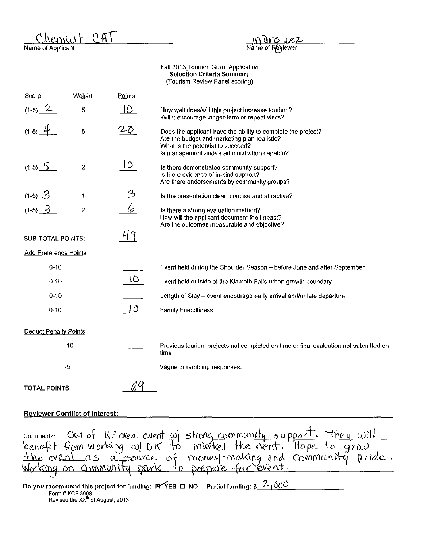$CAT$ Chemult

Name of Applicant

# Marguez<br>Name of Reviewer

Faii2013\_Tourism Grant Application Selection Criteria Summary (Tourism Review Panel scoring)

| <b>Score</b>                 | Weight                  | Points          |                                                                                                                                                                                                   |
|------------------------------|-------------------------|-----------------|---------------------------------------------------------------------------------------------------------------------------------------------------------------------------------------------------|
| $(1-5) 2$                    | 5                       | Ю               | How well does/will this project increase tourism?<br>Will it encourage longer-term or repeat visits?                                                                                              |
| $(1-5)$ $\frac{1}{2}$        | 5                       |                 | Does the applicant have the ability to complete the project?<br>Are the budget and marketing plan realistic?<br>What is the potential to succeed?<br>Is management and/or administration capable? |
| $(1-5)$ 5                    | $\overline{\mathbf{c}}$ | $\overline{10}$ | Is there demonstrated community support?<br>Is there evidence of in-kind support?<br>Are there endorsements by community groups?                                                                  |
| $(1-5)$ $\frac{\sqrt{3}}{2}$ | 1                       |                 | Is the presentation clear, concise and attractive?                                                                                                                                                |
| $(1-5)$ $\frac{3}{2}$        | $\overline{\mathbf{c}}$ | 6               | Is there a strong evaluation method?<br>How will the applicant document the impact?<br>Are the outcomes measurable and objective?                                                                 |
| <b>SUB-TOTAL POINTS:</b>     |                         | 49              |                                                                                                                                                                                                   |
| <b>Add Preference Points</b> |                         |                 |                                                                                                                                                                                                   |
| $0 - 10$                     |                         |                 | Event held during the Shoulder Season - before June and after September                                                                                                                           |
| $0 - 10$                     |                         | 10              | Event held outside of the Klamath Falls urban growth boundary                                                                                                                                     |
| $0 - 10$                     |                         |                 | Length of Stay - event encourage early arrival and/or late departure                                                                                                                              |
| $0 - 10$                     |                         | 10              | <b>Family Friendliness</b>                                                                                                                                                                        |
| <b>Deduct Penalty Points</b> |                         |                 |                                                                                                                                                                                                   |
|                              | $-10$                   |                 | Previous tourism projects not completed on time or final evaluation not submitted on<br>time                                                                                                      |
|                              | $-5$                    |                 | Vague or rambling responses.                                                                                                                                                                      |
| <b>TOTAL POINTS</b>          |                         |                 |                                                                                                                                                                                                   |

### Reviewer Conflict of Interest:

| comments: Out of KF area event w strong community support. They will |  |  |  |  |  |
|----------------------------------------------------------------------|--|--|--|--|--|
| benefit from working w/ DK to market the event. Hope to graw         |  |  |  |  |  |
| the event as a source of money-making and community pride.           |  |  |  |  |  |
| Working on community park to prepare for event.                      |  |  |  |  |  |

Do you recommend this project for funding:  $\mathbb{B}$ YES D NO Partial funding: \$ $\frac{2}{1000}$ <br>Form # KCF 3008<br>Revised the XX<sup>In</sup> of August, 2013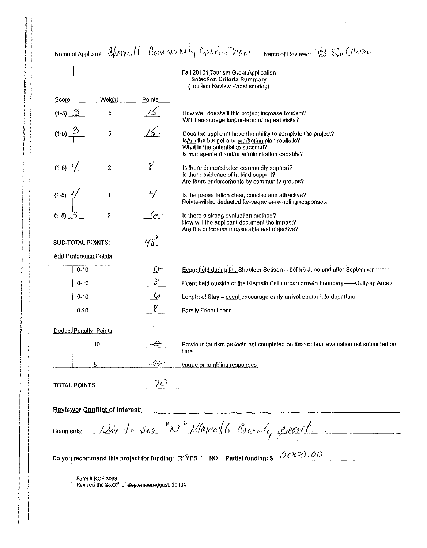Name of Applicant Clerke (f. Correntative Action Team Name of Reviewer B. Sullar Fall 20134 Tourism Grant Application **Selection Criteria Summary** (Tourism Review Panel scoring) Welght Score Points 15  $(1-5)$   $3$ 5 How well does/will this project increase tourism? Will it encourage longer-term or repeat visits?  $15.$  $(1-5) \frac{3}{1}$ 5 Does the applicant have the ability to complete the project? Is Are the budget and marketing plan realistic? What is the potential to succeed? Is management and/or administration capable?  $8^{\circ}$  $(1-5)$   $\frac{2}{1}$  $\boldsymbol{2}$ Is there demonstrated community support? Is there evidence of in-kind support? Are there endorsements by community groups?  $(1-5)$  $\ddot{\mathbf{1}}$ Is the presentation clear, concise and attractive? Points-will-be-deducted-for-vague-er-rambling-responses.- $\varphi$  $\overline{2}$ Is there a strong evaluation method?  $(1-5)$ . How will the applicant document the impact? Are the outcomes measurable and objective?  $418^2$ **SUB-TOTAL POINTS:** Add Preference Points Event held during the Shoulder Season -- before June and after September  $10.10$  $-\theta$  $\varphi$  $10-10$ Event held outside of the Klamath Falls urban growth boundary-<br>- Outlying Areas  $6 -$ Length of Stay - event encourage early arrival and/or late departure  $|0.10$  $8^{\circ}$  $0.10$ **Family Friendliness** Deduct Penalty - Points  $-10$  $\theta$ Previous tourism projects not completed on time or final evaluation not submitted on time  $\cdot$  GeV  $\cdot$  $-5$ Vague or rambling responses.  $70$ **TOTAL POINTS Reviewer Conflict of Interest:** Nice to see "N" Klamath Course, event. Comments: Do you recommend this project for funding:  $\mathbb{B}$  YES  $\Box$  NO Partial funding: \$ 3 CX-20 00 Form # KCF 3008 Revised the 28XX<sup>n</sup> of SeptemberAugust, 20131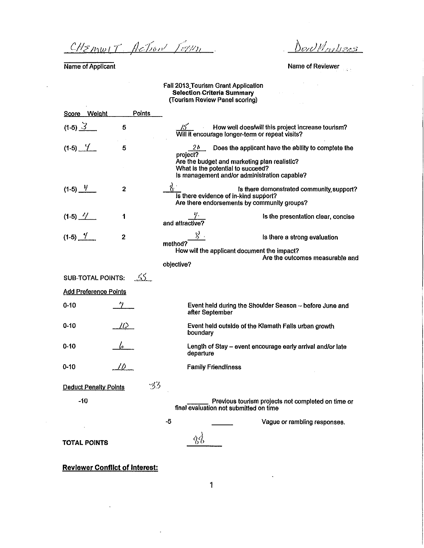<sup>~</sup>' */Jcf;6n/ /;/J/h* 

Name of Applicant

DerUMmbas

Name of Reviewer

 $\mathcal{L}^{\text{max}}_{\text{max}}$  ,  $\mathcal{L}^{\text{max}}_{\text{max}}$ 

 $\Delta\lambda_{\rm{max}}$  and  $\Delta\lambda_{\rm{max}}$ 

### Fall 2013\_Tourism Grant Application Selection. Criteria Summary (Tourism Review Panel scoring)

|                       | Score Weight                 | Points     |                                                                                                                                               |                                          |
|-----------------------|------------------------------|------------|-----------------------------------------------------------------------------------------------------------------------------------------------|------------------------------------------|
| $(1-5)$ $3$           | 5                            |            | How well does/will this project increase tourism?<br>15.<br>Will it encourage longer-term or repeat visits?                                   |                                          |
| $(1-5)$ $\frac{1}{2}$ | 5                            |            | Does the applicant have the ability to complete the<br>20 -                                                                                   |                                          |
|                       |                              |            | project?<br>Are the budget and marketing plan realistic?<br>What is the potential to succeed?<br>Is management and/or administration capable? |                                          |
| $(1-5)$ $\frac{4}{1}$ | 2                            |            | Is there evidence of in-kind support?<br>Are there endorsements by community groups?                                                          | Is there demonstrated community support? |
| $(1-5)$ $4$           | 1                            |            | and attractive?                                                                                                                               | Is the presentation clear, concise       |
| $(1-5)$ $\frac{9}{2}$ | $\mathbf{2}$                 | method?    |                                                                                                                                               | Is there a strong evaluation             |
|                       |                              |            | How will the applicant document the impact?                                                                                                   |                                          |
|                       |                              | objective? |                                                                                                                                               | Are the outcomes measurable and          |
|                       | <b>SUB-TOTAL POINTS:</b>     | -55        |                                                                                                                                               |                                          |
|                       | <b>Add Preference Points</b> |            |                                                                                                                                               |                                          |
| $0 - 10$              |                              |            | Event held during the Shoulder Season -- before June and<br>after September                                                                   |                                          |
| $0 - 10$              | $\mathcal{D}^-$              |            | Event held outside of the Klamath Falls urban growth<br>boundary                                                                              |                                          |
| 0-10                  |                              |            | Length of Stay - event encourage early arrival and/or late<br>departure                                                                       |                                          |
| $0 - 10$              | 10 -                         |            | <b>Family Friendliness</b>                                                                                                                    |                                          |
|                       | <b>Deduct Penalty Points</b> | -33        |                                                                                                                                               |                                          |
| -10                   |                              |            | Previous tourism projects not completed on time or<br>final evaluation not submitted on time                                                  |                                          |
|                       |                              | -5         |                                                                                                                                               | Vague or rambling responses.             |
|                       | TOTAL POINTS                 |            | 38                                                                                                                                            |                                          |

Reviewer Conflict of Interest:

 $\ddot{\phantom{1}}$ 

 $\overline{\phantom{a}}$ 

 $\bar{\beta}$